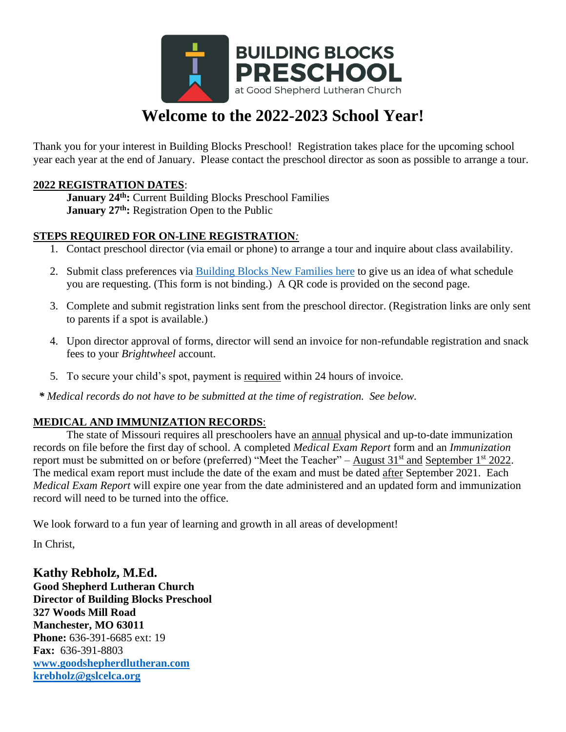

# **Welcome to the 2022-2023 School Year!**

Thank you for your interest in Building Blocks Preschool! Registration takes place for the upcoming school year each year at the end of January. Please contact the preschool director as soon as possible to arrange a tour.

#### **2022 REGISTRATION DATES**:

**January 24th:** Current Building Blocks Preschool Families **January 27th:** Registration Open to the Public

### **STEPS REQUIRED FOR ON-LINE REGISTRATION***:*

- 1. Contact preschool director (via email or phone) to arrange a tour and inquire about class availability.
- 2. Submit class preferences via [Building Blocks New Families here](https://forms.gle/PMEvheEwGCjW2pxG7) to give us an idea of what schedule you are requesting. (This form is not binding.) A QR code is provided on the second page.
- 3. Complete and submit registration links sent from the preschool director. (Registration links are only sent to parents if a spot is available.)
- 4. Upon director approval of forms, director will send an invoice for non-refundable registration and snack fees to your *Brightwheel* account.
- 5. To secure your child's spot, payment is required within 24 hours of invoice.

 *\* Medical records do not have to be submitted at the time of registration. See below.*

### **MEDICAL AND IMMUNIZATION RECORDS**:

The state of Missouri requires all preschoolers have an annual physical and up-to-date immunization records on file before the first day of school. A completed *Medical Exam Report* form and an *Immunization* report must be submitted on or before (preferred) "Meet the Teacher" – August  $31<sup>st</sup>$  and September  $1<sup>st</sup>$  2022. The medical exam report must include the date of the exam and must be dated after September 2021. Each *Medical Exam Report* will expire one year from the date administered and an updated form and immunization record will need to be turned into the office.

We look forward to a fun year of learning and growth in all areas of development!

In Christ,

**Kathy Rebholz, M.Ed. Good Shepherd Lutheran Church Director of Building Blocks Preschool 327 Woods Mill Road Manchester, MO 63011 Phone:** 636-391-6685 ext: 19 **Fax:** 636-391-8803 **[www.goodshepherdlutheran.com](http://www.goodshepherdlutheran.com/) [krebholz@gslcelca.org](mailto:krebholz@gslcelca.org)**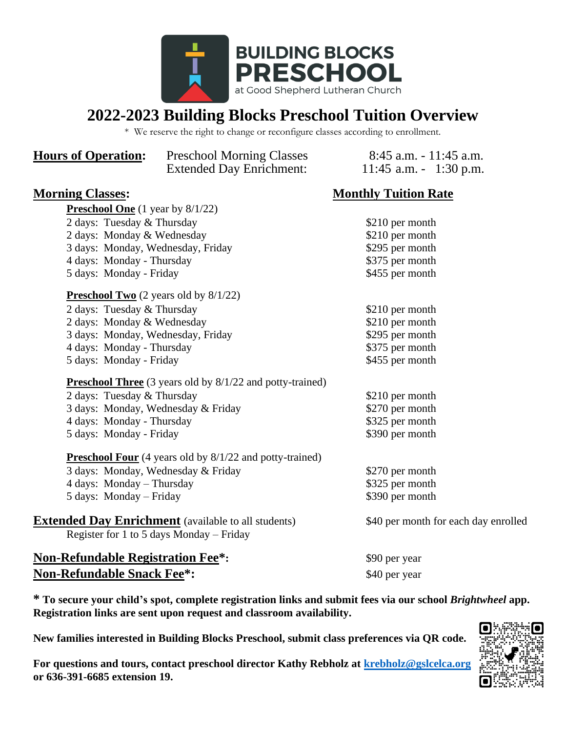

## **2022-2023 Building Blocks Preschool Tuition Overview**

\* We reserve the right to change or reconfigure classes according to enrollment.

| <b>Hours of Operation:</b>                                 | <b>Preschool Morning Classes</b><br><b>Extended Day Enrichment:</b> | $8:45$ a.m. $-11:45$ a.m.<br>11:45 a.m. $-1:30$ p.m. |  |
|------------------------------------------------------------|---------------------------------------------------------------------|------------------------------------------------------|--|
| <b>Morning Classes:</b>                                    |                                                                     | <b>Monthly Tuition Rate</b>                          |  |
| <b>Preschool One</b> $(1 \text{ year by } 8/1/22)$         |                                                                     |                                                      |  |
| 2 days: Tuesday & Thursday                                 |                                                                     | \$210 per month                                      |  |
| 2 days: Monday & Wednesday                                 |                                                                     | \$210 per month                                      |  |
| 3 days: Monday, Wednesday, Friday                          |                                                                     | \$295 per month                                      |  |
| 4 days: Monday - Thursday                                  |                                                                     | \$375 per month                                      |  |
| 5 days: Monday - Friday                                    |                                                                     | \$455 per month                                      |  |
| <b>Preschool Two</b> $(2 \text{ years old by } 8/1/22)$    |                                                                     |                                                      |  |
| 2 days: Tuesday & Thursday                                 |                                                                     | \$210 per month                                      |  |
| 2 days: Monday & Wednesday                                 |                                                                     | \$210 per month                                      |  |
| 3 days: Monday, Wednesday, Friday                          |                                                                     | \$295 per month                                      |  |
| 4 days: Monday - Thursday                                  |                                                                     | \$375 per month                                      |  |
| 5 days: Monday - Friday                                    |                                                                     | \$455 per month                                      |  |
|                                                            | <b>Preschool Three</b> (3 years old by 8/1/22 and potty-trained)    |                                                      |  |
| 2 days: Tuesday & Thursday                                 |                                                                     | \$210 per month                                      |  |
| 3 days: Monday, Wednesday & Friday                         |                                                                     | \$270 per month                                      |  |
| 4 days: Monday - Thursday                                  |                                                                     | \$325 per month                                      |  |
| 5 days: Monday - Friday                                    |                                                                     | \$390 per month                                      |  |
|                                                            | <b>Preschool Four</b> (4 years old by 8/1/22 and potty-trained)     |                                                      |  |
| 3 days: Monday, Wednesday & Friday                         |                                                                     | \$270 per month                                      |  |
| 4 days: Monday - Thursday                                  |                                                                     | \$325 per month                                      |  |
| 5 days: Monday – Friday                                    |                                                                     | \$390 per month                                      |  |
| <b>Extended Day Enrichment</b> (available to all students) |                                                                     | \$40 per month for each day enrolled                 |  |
|                                                            | Register for 1 to 5 days Monday – Friday                            |                                                      |  |
| <b>Non-Refundable Registration Fee*:</b>                   |                                                                     | \$90 per year                                        |  |
| <b>Non-Refundable Snack Fee*:</b>                          |                                                                     | \$40 per year                                        |  |

**\* To secure your child's spot, complete registration links and submit fees via our school** *Brightwheel* **app. Registration links are sent upon request and classroom availability.**

**New families interested in Building Blocks Preschool, submit class preferences via QR code.** 

**For questions and tours, contact preschool director Kathy Rebholz at [krebholz@gslcelca.org](mailto:krebholz@gslcelca.org) or 636-391-6685 extension 19.**